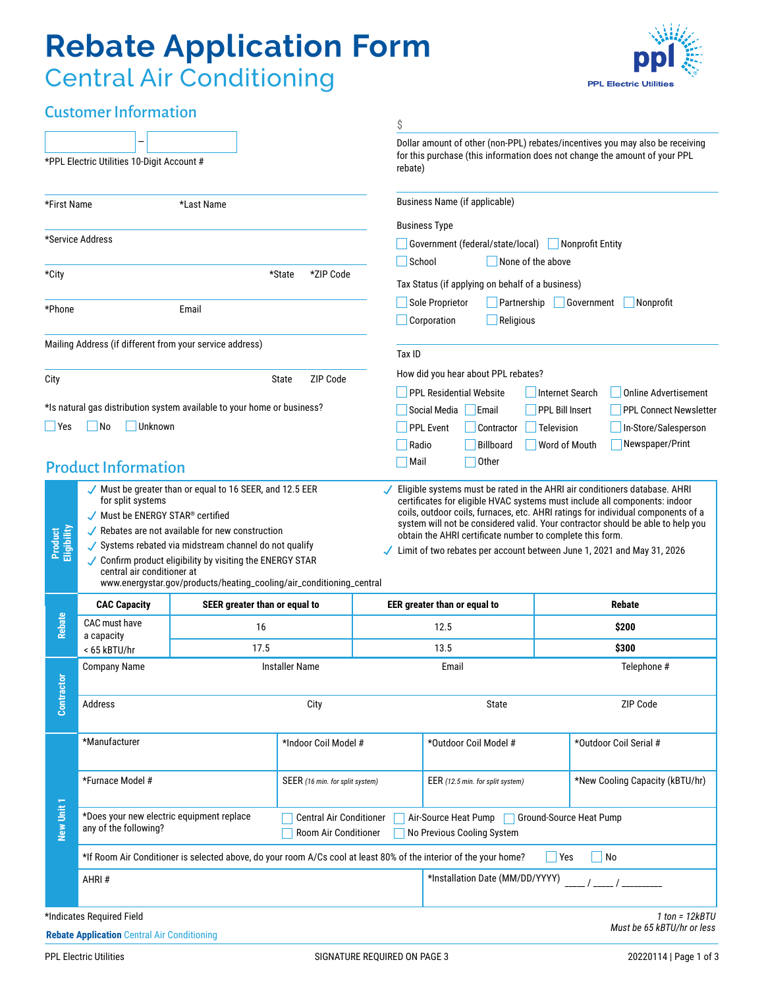# **Rebate Application Form** Central Air Conditioning



## Customer Information

|                                                                                         |                                                                                                                                                                                                                                                                                                                                                                        |                                                                                                                   |                                 | \$                                                                            |                                                                                                                                                                        |                        |                                                                                                                                                                                                                                                                                                                                                  |  |
|-----------------------------------------------------------------------------------------|------------------------------------------------------------------------------------------------------------------------------------------------------------------------------------------------------------------------------------------------------------------------------------------------------------------------------------------------------------------------|-------------------------------------------------------------------------------------------------------------------|---------------------------------|-------------------------------------------------------------------------------|------------------------------------------------------------------------------------------------------------------------------------------------------------------------|------------------------|--------------------------------------------------------------------------------------------------------------------------------------------------------------------------------------------------------------------------------------------------------------------------------------------------------------------------------------------------|--|
| *PPL Electric Utilities 10-Digit Account #                                              |                                                                                                                                                                                                                                                                                                                                                                        |                                                                                                                   |                                 |                                                                               | Dollar amount of other (non-PPL) rebates/incentives you may also be receiving<br>for this purchase (this information does not change the amount of your PPL<br>rebate) |                        |                                                                                                                                                                                                                                                                                                                                                  |  |
| *First Name<br>*Last Name                                                               |                                                                                                                                                                                                                                                                                                                                                                        |                                                                                                                   |                                 |                                                                               | Business Name (if applicable)                                                                                                                                          |                        |                                                                                                                                                                                                                                                                                                                                                  |  |
|                                                                                         |                                                                                                                                                                                                                                                                                                                                                                        |                                                                                                                   |                                 | <b>Business Type</b>                                                          |                                                                                                                                                                        |                        |                                                                                                                                                                                                                                                                                                                                                  |  |
| *Service Address                                                                        |                                                                                                                                                                                                                                                                                                                                                                        |                                                                                                                   |                                 | Government (federal/state/local)<br>Nonprofit Entity                          |                                                                                                                                                                        |                        |                                                                                                                                                                                                                                                                                                                                                  |  |
|                                                                                         |                                                                                                                                                                                                                                                                                                                                                                        |                                                                                                                   |                                 |                                                                               | School<br>None of the above                                                                                                                                            |                        |                                                                                                                                                                                                                                                                                                                                                  |  |
| *City                                                                                   |                                                                                                                                                                                                                                                                                                                                                                        |                                                                                                                   | *ZIP Code<br>*State             |                                                                               | Tax Status (if applying on behalf of a business)                                                                                                                       |                        |                                                                                                                                                                                                                                                                                                                                                  |  |
| *Phone<br>Email                                                                         |                                                                                                                                                                                                                                                                                                                                                                        |                                                                                                                   |                                 |                                                                               | Sole Proprietor<br>Religious<br>Corporation                                                                                                                            | Partnership            | Government<br>Nonprofit                                                                                                                                                                                                                                                                                                                          |  |
|                                                                                         | Mailing Address (if different from your service address)                                                                                                                                                                                                                                                                                                               |                                                                                                                   |                                 | Tax ID                                                                        |                                                                                                                                                                        |                        |                                                                                                                                                                                                                                                                                                                                                  |  |
| City                                                                                    | State<br>ZIP Code                                                                                                                                                                                                                                                                                                                                                      |                                                                                                                   |                                 |                                                                               | How did you hear about PPL rebates?                                                                                                                                    |                        |                                                                                                                                                                                                                                                                                                                                                  |  |
|                                                                                         |                                                                                                                                                                                                                                                                                                                                                                        |                                                                                                                   |                                 |                                                                               | <b>PPL Residential Website</b>                                                                                                                                         | <b>Internet Search</b> | <b>Online Advertisement</b>                                                                                                                                                                                                                                                                                                                      |  |
|                                                                                         |                                                                                                                                                                                                                                                                                                                                                                        | *Is natural gas distribution system available to your home or business?                                           |                                 |                                                                               | Social Media<br>Email                                                                                                                                                  | <b>PPL Bill Insert</b> | <b>PPL Connect Newsletter</b>                                                                                                                                                                                                                                                                                                                    |  |
| – I Yes                                                                                 | Unknown<br>No                                                                                                                                                                                                                                                                                                                                                          |                                                                                                                   |                                 |                                                                               | <b>PPL Event</b><br>Contractor                                                                                                                                         | Television             | In-Store/Salesperson                                                                                                                                                                                                                                                                                                                             |  |
|                                                                                         |                                                                                                                                                                                                                                                                                                                                                                        |                                                                                                                   |                                 | Radio                                                                         | <b>Billboard</b>                                                                                                                                                       | Word of Mouth          | Newspaper/Print                                                                                                                                                                                                                                                                                                                                  |  |
|                                                                                         | <b>Product Information</b>                                                                                                                                                                                                                                                                                                                                             |                                                                                                                   |                                 | Mail                                                                          | <b>Other</b>                                                                                                                                                           |                        |                                                                                                                                                                                                                                                                                                                                                  |  |
| Product<br>Eliqibility                                                                  | for split systems<br>√ Must be ENERGY STAR <sup>®</sup> certified<br>$\sqrt{\ }$ Rebates are not available for new construction<br>✔ Systems rebated via midstream channel do not qualify<br>$\sqrt{\ }$ Confirm product eligibility by visiting the ENERGY STAR<br>central air conditioner at<br>www.energystar.gov/products/heating_cooling/air_conditioning_central |                                                                                                                   |                                 |                                                                               | obtain the AHRI certificate number to complete this form.                                                                                                              |                        | certificates for eligible HVAC systems must include all components: indoor<br>coils, outdoor coils, furnaces, etc. AHRI ratings for individual components of a<br>system will not be considered valid. Your contractor should be able to help you<br>$\sqrt{\phantom{0}}$ Limit of two rebates per account between June 1, 2021 and May 31, 2026 |  |
|                                                                                         | <b>CAC Capacity</b>                                                                                                                                                                                                                                                                                                                                                    | SEER greater than or equal to                                                                                     |                                 |                                                                               | EER greater than or equal to                                                                                                                                           |                        | <b>Rebate</b>                                                                                                                                                                                                                                                                                                                                    |  |
| <b>Rebate</b>                                                                           | CAC must have<br>a capacity                                                                                                                                                                                                                                                                                                                                            | 16                                                                                                                |                                 |                                                                               | 12.5                                                                                                                                                                   |                        | \$200                                                                                                                                                                                                                                                                                                                                            |  |
|                                                                                         | < 65 kBTU/hr                                                                                                                                                                                                                                                                                                                                                           | 17.5                                                                                                              |                                 | 13.5                                                                          |                                                                                                                                                                        |                        | \$300                                                                                                                                                                                                                                                                                                                                            |  |
|                                                                                         | <b>Company Name</b><br><b>Installer Name</b>                                                                                                                                                                                                                                                                                                                           |                                                                                                                   |                                 | Email                                                                         |                                                                                                                                                                        |                        | Telephone #                                                                                                                                                                                                                                                                                                                                      |  |
| Contractor                                                                              | Address                                                                                                                                                                                                                                                                                                                                                                | City                                                                                                              |                                 |                                                                               | State                                                                                                                                                                  |                        | ZIP Code                                                                                                                                                                                                                                                                                                                                         |  |
| New Unit 1                                                                              | *Manufacturer                                                                                                                                                                                                                                                                                                                                                          |                                                                                                                   | *Indoor Coil Model #            |                                                                               | *Outdoor Coil Model #                                                                                                                                                  |                        | *Outdoor Coil Serial #                                                                                                                                                                                                                                                                                                                           |  |
|                                                                                         | *Furnace Model #                                                                                                                                                                                                                                                                                                                                                       |                                                                                                                   | SEER (16 min. for split system) |                                                                               | EER (12.5 min. for split system)                                                                                                                                       |                        | *New Cooling Capacity (kBTU/hr)                                                                                                                                                                                                                                                                                                                  |  |
|                                                                                         | *Does your new electric equipment replace<br><b>Central Air Conditioner</b><br>any of the following?<br>Room Air Conditioner                                                                                                                                                                                                                                           |                                                                                                                   |                                 | Ground-Source Heat Pump<br>Air-Source Heat Pump<br>No Previous Cooling System |                                                                                                                                                                        |                        |                                                                                                                                                                                                                                                                                                                                                  |  |
|                                                                                         |                                                                                                                                                                                                                                                                                                                                                                        | *If Room Air Conditioner is selected above, do your room A/Cs cool at least 80% of the interior of the your home? |                                 |                                                                               | Yes                                                                                                                                                                    | No                     |                                                                                                                                                                                                                                                                                                                                                  |  |
|                                                                                         | AHRI#                                                                                                                                                                                                                                                                                                                                                                  |                                                                                                                   |                                 |                                                                               | *Installation Date (MM/DD/YYYY)                                                                                                                                        |                        |                                                                                                                                                                                                                                                                                                                                                  |  |
|                                                                                         | *Indicates Required Field                                                                                                                                                                                                                                                                                                                                              |                                                                                                                   |                                 |                                                                               |                                                                                                                                                                        |                        | $1$ ton = $12kBTU$                                                                                                                                                                                                                                                                                                                               |  |
|                                                                                         | <b>Rebate Application Central Air Conditioning</b>                                                                                                                                                                                                                                                                                                                     |                                                                                                                   |                                 |                                                                               |                                                                                                                                                                        |                        | Must be 65 kBTU/hr or less                                                                                                                                                                                                                                                                                                                       |  |
| <b>PPL Electric Utilities</b><br>SIGNATURE REQUIRED ON PAGE 3<br>20220114   Page 1 of 3 |                                                                                                                                                                                                                                                                                                                                                                        |                                                                                                                   |                                 |                                                                               |                                                                                                                                                                        |                        |                                                                                                                                                                                                                                                                                                                                                  |  |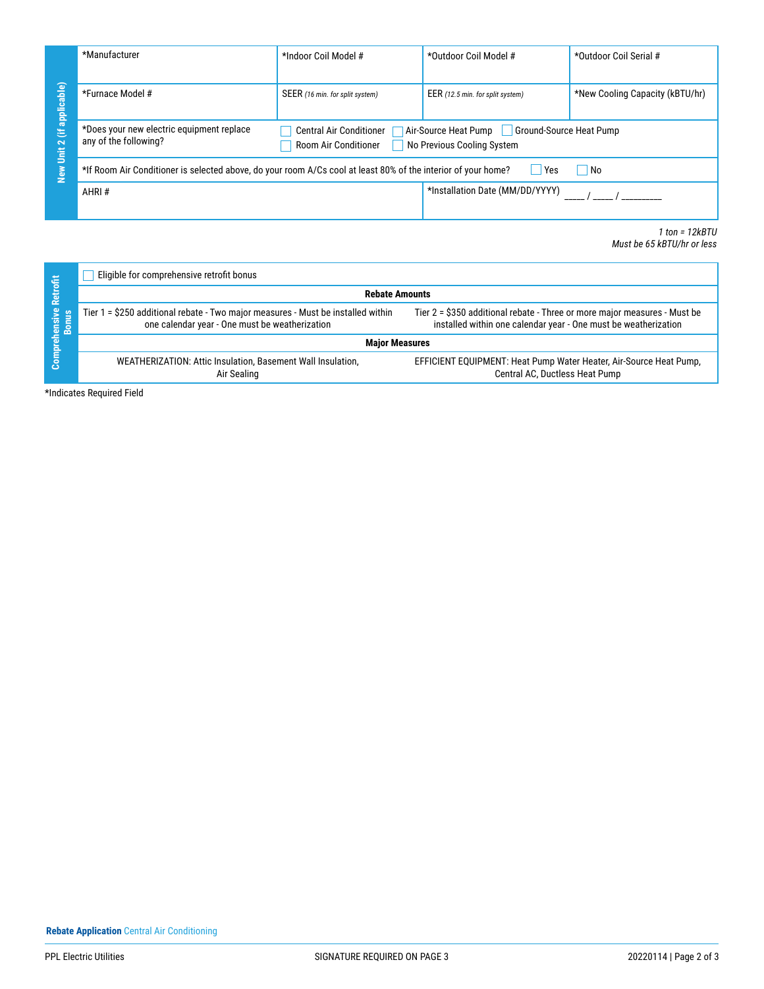|                                        | *Manufacturer                                                                                                                                                                                                 | *Indoor Coil Model #            | *Outdoor Coil Model #                                                                                                                        | *Outdoor Coil Serial #                           |  |  |  |  |
|----------------------------------------|---------------------------------------------------------------------------------------------------------------------------------------------------------------------------------------------------------------|---------------------------------|----------------------------------------------------------------------------------------------------------------------------------------------|--------------------------------------------------|--|--|--|--|
| New Unit 2 (if applicable)             | *Furnace Model #                                                                                                                                                                                              | SEER (16 min. for split system) | EER (12.5 min. for split system)                                                                                                             | *New Cooling Capacity (kBTU/hr)                  |  |  |  |  |
|                                        | *Does your new electric equipment replace<br>Central Air Conditioner<br>Air-Source Heat Pump<br><b>Ground-Source Heat Pump</b><br>any of the following?<br>Room Air Conditioner<br>No Previous Cooling System |                                 |                                                                                                                                              |                                                  |  |  |  |  |
|                                        | *If Room Air Conditioner is selected above, do your room A/Cs cool at least 80% of the interior of your home?<br>Yes<br>No                                                                                    |                                 |                                                                                                                                              |                                                  |  |  |  |  |
|                                        | AHRI#                                                                                                                                                                                                         |                                 | *Installation Date (MM/DD/YYYY)                                                                                                              |                                                  |  |  |  |  |
|                                        |                                                                                                                                                                                                               |                                 |                                                                                                                                              | $1$ ton = $12kBTU$<br>Must be 65 kBTU/hr or less |  |  |  |  |
|                                        | Eligible for comprehensive retrofit bonus                                                                                                                                                                     |                                 |                                                                                                                                              |                                                  |  |  |  |  |
|                                        | <b>Rebate Amounts</b>                                                                                                                                                                                         |                                 |                                                                                                                                              |                                                  |  |  |  |  |
| <b>Comprehensive Retrofit</b><br>Bonus | Tier 1 = \$250 additional rebate - Two major measures - Must be installed within<br>one calendar year - One must be weatherization                                                                            |                                 | Tier 2 = \$350 additional rebate - Three or more major measures - Must be<br>installed within one calendar year - One must be weatherization |                                                  |  |  |  |  |
|                                        | WEATHERIZATION: Attic Insulation, Basement Wall Insulation,                                                                                                                                                   | <b>Major Measures</b>           | EFFICIENT EQUIPMENT: Heat Pump Water Heater, Air-Source Heat Pump,                                                                           |                                                  |  |  |  |  |
|                                        | Air Sealing                                                                                                                                                                                                   |                                 | Central AC, Ductless Heat Pump                                                                                                               |                                                  |  |  |  |  |
|                                        | *Indicates Required Field                                                                                                                                                                                     |                                 |                                                                                                                                              |                                                  |  |  |  |  |
|                                        |                                                                                                                                                                                                               |                                 |                                                                                                                                              |                                                  |  |  |  |  |
|                                        |                                                                                                                                                                                                               |                                 |                                                                                                                                              |                                                  |  |  |  |  |
|                                        |                                                                                                                                                                                                               |                                 |                                                                                                                                              |                                                  |  |  |  |  |
|                                        |                                                                                                                                                                                                               |                                 |                                                                                                                                              |                                                  |  |  |  |  |
|                                        |                                                                                                                                                                                                               |                                 |                                                                                                                                              |                                                  |  |  |  |  |
|                                        |                                                                                                                                                                                                               |                                 |                                                                                                                                              |                                                  |  |  |  |  |
|                                        |                                                                                                                                                                                                               |                                 |                                                                                                                                              |                                                  |  |  |  |  |
|                                        |                                                                                                                                                                                                               |                                 |                                                                                                                                              |                                                  |  |  |  |  |
|                                        |                                                                                                                                                                                                               |                                 |                                                                                                                                              |                                                  |  |  |  |  |
|                                        |                                                                                                                                                                                                               |                                 |                                                                                                                                              |                                                  |  |  |  |  |
|                                        |                                                                                                                                                                                                               |                                 |                                                                                                                                              |                                                  |  |  |  |  |
|                                        |                                                                                                                                                                                                               |                                 |                                                                                                                                              |                                                  |  |  |  |  |
|                                        |                                                                                                                                                                                                               |                                 |                                                                                                                                              |                                                  |  |  |  |  |
|                                        |                                                                                                                                                                                                               |                                 |                                                                                                                                              |                                                  |  |  |  |  |
|                                        |                                                                                                                                                                                                               |                                 |                                                                                                                                              |                                                  |  |  |  |  |
|                                        | <b>Rebate Application</b> Central Air Conditioning                                                                                                                                                            |                                 |                                                                                                                                              |                                                  |  |  |  |  |

|                                                 | Eligible for comprehensive retrofit bonus                                                                                          |                                                                                                                                              |  |  |  |  |
|-------------------------------------------------|------------------------------------------------------------------------------------------------------------------------------------|----------------------------------------------------------------------------------------------------------------------------------------------|--|--|--|--|
| Retrofit<br>hensive<br>Bonu <u>s</u><br>Compreh | <b>Rebate Amounts</b>                                                                                                              |                                                                                                                                              |  |  |  |  |
|                                                 | Tier 1 = \$250 additional rebate - Two major measures - Must be installed within<br>one calendar year - One must be weatherization | Tier 2 = \$350 additional rebate - Three or more major measures - Must be<br>installed within one calendar year - One must be weatherization |  |  |  |  |
|                                                 | <b>Maior Measures</b>                                                                                                              |                                                                                                                                              |  |  |  |  |
|                                                 | WEATHERIZATION: Attic Insulation, Basement Wall Insulation,<br>Air Sealing                                                         | EFFICIENT EQUIPMENT: Heat Pump Water Heater, Air-Source Heat Pump,<br>Central AC, Ductless Heat Pump                                         |  |  |  |  |